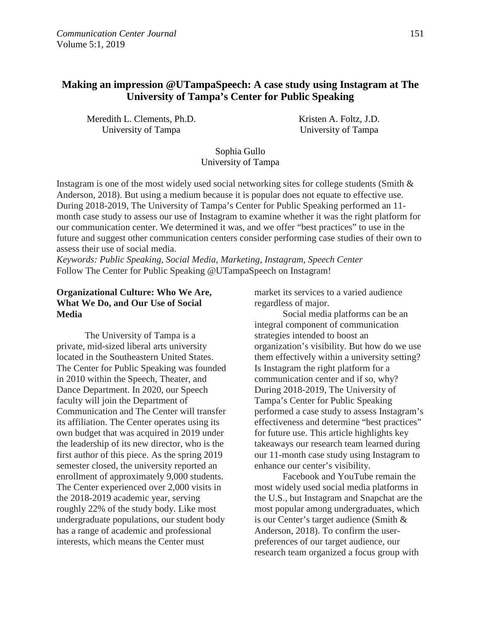# **Making an impression @UTampaSpeech: A case study using Instagram at The University of Tampa's Center for Public Speaking**

Meredith L. Clements, Ph.D. University of Tampa

Kristen A. Foltz, J.D. University of Tampa

# Sophia Gullo University of Tampa

Instagram is one of the most widely used social networking sites for college students (Smith & Anderson, 2018). But using a medium because it is popular does not equate to effective use. During 2018-2019, The University of Tampa's Center for Public Speaking performed an 11 month case study to assess our use of Instagram to examine whether it was the right platform for our communication center. We determined it was, and we offer "best practices" to use in the future and suggest other communication centers consider performing case studies of their own to assess their use of social media.

*Keywords: Public Speaking, Social Media, Marketing, Instagram, Speech Center*  Follow The Center for Public Speaking @UTampaSpeech on Instagram!

# **Organizational Culture: Who We Are, What We Do, and Our Use of Social Media**

The University of Tampa is a private, mid-sized liberal arts university located in the Southeastern United States. The Center for Public Speaking was founded in 2010 within the Speech, Theater, and Dance Department. In 2020, our Speech faculty will join the Department of Communication and The Center will transfer its affiliation. The Center operates using its own budget that was acquired in 2019 under the leadership of its new director, who is the first author of this piece. As the spring 2019 semester closed, the university reported an enrollment of approximately 9,000 students. The Center experienced over 2,000 visits in the 2018-2019 academic year, serving roughly 22% of the study body. Like most undergraduate populations, our student body has a range of academic and professional interests, which means the Center must

market its services to a varied audience regardless of major.

Social media platforms can be an integral component of communication strategies intended to boost an organization's visibility. But how do we use them effectively within a university setting? Is Instagram the right platform for a communication center and if so, why? During 2018-2019, The University of Tampa's Center for Public Speaking performed a case study to assess Instagram's effectiveness and determine "best practices" for future use. This article highlights key takeaways our research team learned during our 11-month case study using Instagram to enhance our center's visibility.

Facebook and YouTube remain the most widely used social media platforms in the U.S., but Instagram and Snapchat are the most popular among undergraduates, which is our Center's target audience (Smith & Anderson, 2018). To confirm the userpreferences of our target audience, our research team organized a focus group with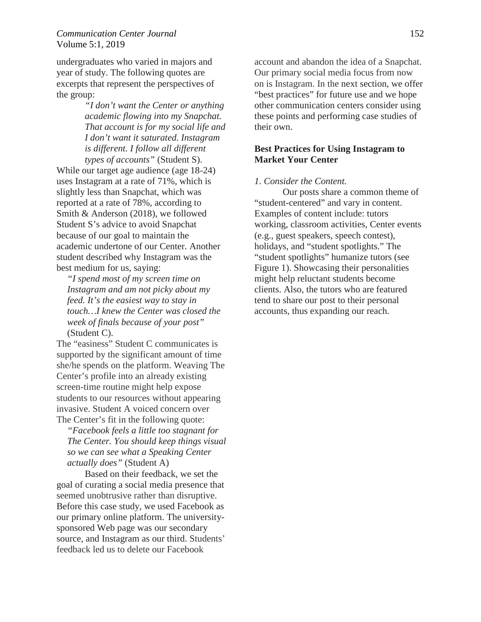# *Communication Center Journal* 152 Volume 5:1, 2019

undergraduates who varied in majors and year of study. The following quotes are excerpts that represent the perspectives of the group:

> *"I don't want the Center or anything academic flowing into my Snapchat. That account is for my social life and I don't want it saturated. Instagram is different. I follow all different types of accounts"* (Student S).

While our target age audience (age 18-24) uses Instagram at a rate of 71%, which is slightly less than Snapchat, which was reported at a rate of 78%, according to Smith & Anderson (2018), we followed Student S's advice to avoid Snapchat because of our goal to maintain the academic undertone of our Center. Another student described why Instagram was the best medium for us, saying:

*"I spend most of my screen time on Instagram and am not picky about my feed. It's the easiest way to stay in touch…I knew the Center was closed the week of finals because of your post"*  (Student C).

The "easiness" Student C communicates is supported by the significant amount of time she/he spends on the platform. Weaving The Center's profile into an already existing screen-time routine might help expose students to our resources without appearing invasive. Student A voiced concern over The Center's fit in the following quote:

*"Facebook feels a little too stagnant for The Center. You should keep things visual so we can see what a Speaking Center actually does"* (Student A)

Based on their feedback, we set the goal of curating a social media presence that seemed unobtrusive rather than disruptive. Before this case study, we used Facebook as our primary online platform. The universitysponsored Web page was our secondary source, and Instagram as our third. Students' feedback led us to delete our Facebook

account and abandon the idea of a Snapchat. Our primary social media focus from now on is Instagram. In the next section, we offer "best practices" for future use and we hope other communication centers consider using these points and performing case studies of their own.

# **Best Practices for Using Instagram to Market Your Center**

#### *1. Consider the Content.*

Our posts share a common theme of "student-centered" and vary in content. Examples of content include: tutors working, classroom activities, Center events (e.g., guest speakers, speech contest), holidays, and "student spotlights." The "student spotlights" humanize tutors (see Figure 1). Showcasing their personalities might help reluctant students become clients. Also, the tutors who are featured tend to share our post to their personal accounts, thus expanding our reach.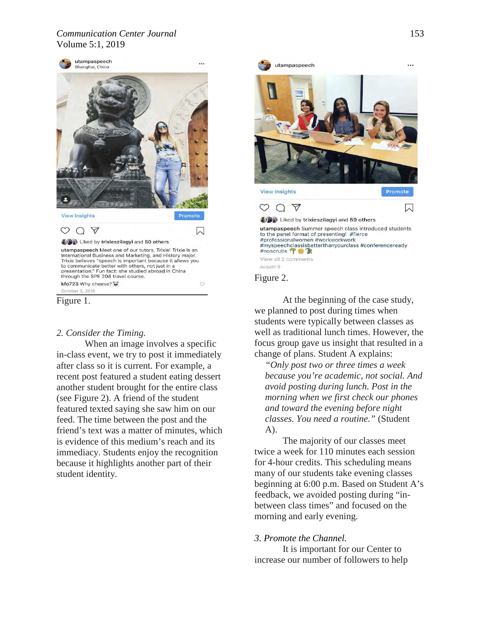#### *Communication Center Journal* 153 Volume 5:1, 2019





# *2. Consider the Timing.*

When an image involves a specific in-class event, we try to post it immediately after class so it is current. For example, a recent post featured a student eating dessert another student brought for the entire class (see Figure 2). A friend of the student featured texted saying she saw him on our feed. The time between the post and the friend's text was a matter of minutes, which is evidence of this medium's reach and its immediacy. Students enjoy the recognition because it highlights another part of their student identity.



At the beginning of the case study, we planned to post during times when students were typically between classes as well as traditional lunch times. However, the focus group gave us insight that resulted in a change of plans. Student A explains:

*"Only post two or three times a week because you're academic, not social. And avoid posting during lunch. Post in the morning when we first check our phones and toward the evening before night classes. You need a routine."* (Student A).

The majority of our classes meet twice a week for 110 minutes each session for 4-hour credits. This scheduling means many of our students take evening classes beginning at 6:00 p.m. Based on Student A's feedback, we avoided posting during "inbetween class times" and focused on the morning and early evening.

# *3. Promote the Channel.*

It is important for our Center to increase our number of followers to help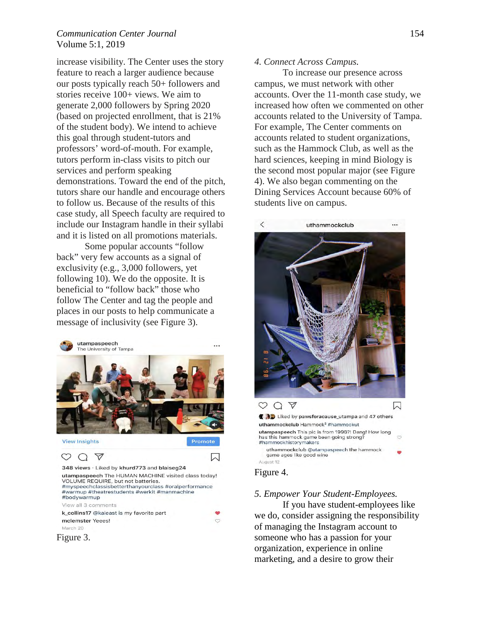#### *Communication Center Journal* 154 Volume 5:1, 2019

increase visibility. The Center uses the story feature to reach a larger audience because our posts typically reach 50+ followers and stories receive 100+ views. We aim to generate 2,000 followers by Spring 2020 (based on projected enrollment, that is 21% of the student body). We intend to achieve this goal through student-tutors and professors' word-of-mouth. For example, tutors perform in-class visits to pitch our services and perform speaking demonstrations. Toward the end of the pitch, tutors share our handle and encourage others to follow us. Because of the results of this case study, all Speech faculty are required to include our Instagram handle in their syllabi and it is listed on all promotions materials.

Some popular accounts "follow back" very few accounts as a signal of exclusivity (e.g., 3,000 followers, yet following 10). We do the opposite. It is beneficial to "follow back" those who follow The Center and tag the people and places in our posts to help communicate a message of inclusivity (see Figure 3).



#### *4. Connect Across Campus.*

To increase our presence across campus, we must network with other accounts. Over the 11-month case study, we increased how often we commented on other accounts related to the University of Tampa. For example, The Center comments on accounts related to student organizations, such as the Hammock Club, as well as the hard sciences, keeping in mind Biology is the second most popular major (see Figure 4). We also began commenting on the Dining Services Account because 60% of students live on campus.



#### *5. Empower Your Student-Employees.*

If you have student-employees like we do, consider assigning the responsibility of managing the Instagram account to someone who has a passion for your organization, experience in online marketing, and a desire to grow their